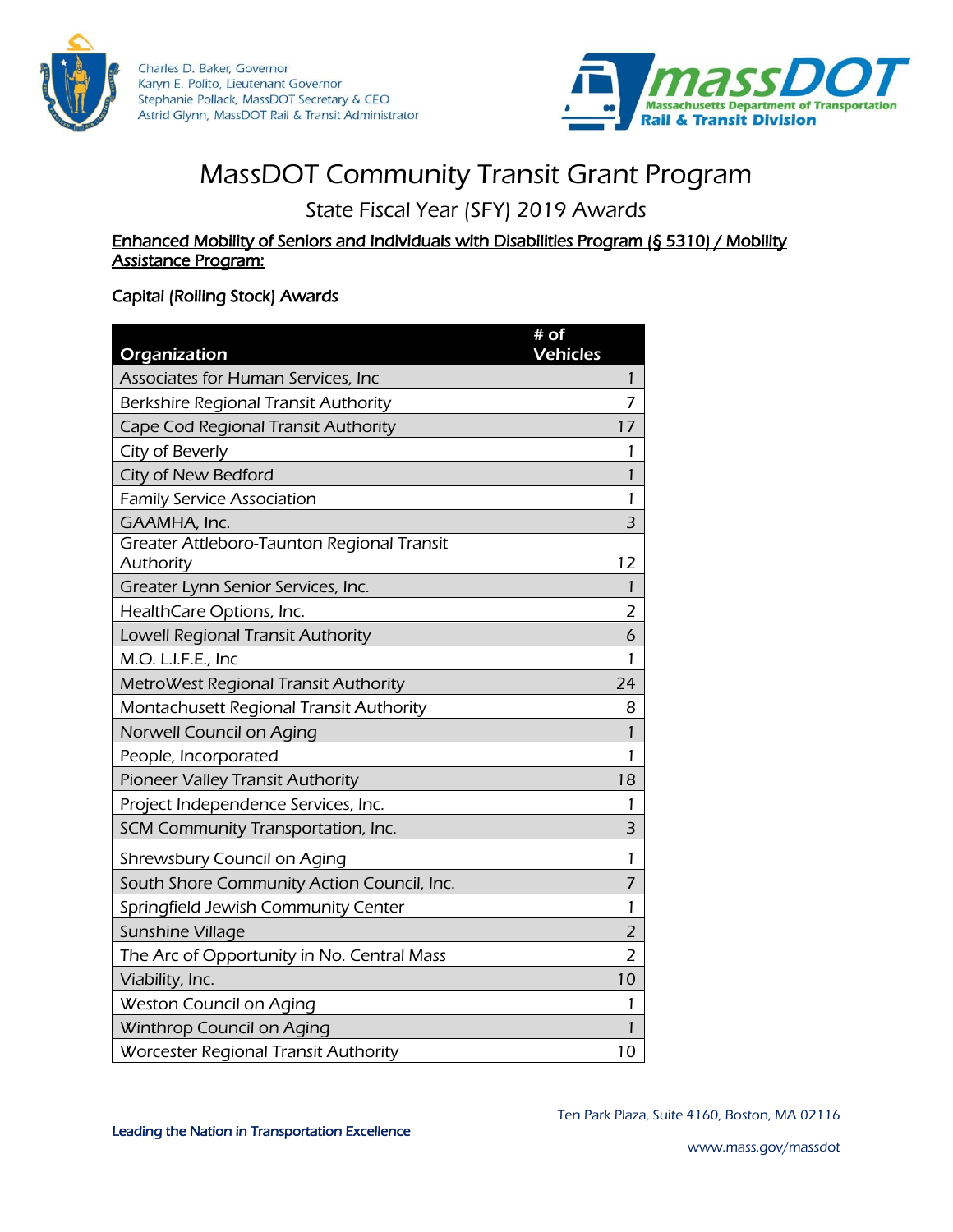

Charles D. Baker, Governor Karyn E. Polito, Lieutenant Governor Stephanie Pollack, MassDOT Secretary & CEO Astrid Glynn, MassDOT Rail & Transit Administrator



# MassDOT Community Transit Grant Program

State Fiscal Year (SFY) 2019 Awards

#### Enhanced Mobility of Seniors and Individuals with Disabilities Program (§ 5310) / Mobility Assistance Program:

### Capital (Rolling Stock) Awards

| Organization                                            | $#$ of<br><b>Vehicles</b> |
|---------------------------------------------------------|---------------------------|
| Associates for Human Services, Inc                      | 1                         |
| Berkshire Regional Transit Authority                    | 7                         |
| Cape Cod Regional Transit Authority                     | 17                        |
| City of Beverly                                         | 1                         |
| City of New Bedford                                     | 1                         |
| <b>Family Service Association</b>                       | 1                         |
| GAAMHA, Inc.                                            | 3                         |
| Greater Attleboro-Taunton Regional Transit<br>Authority | 12                        |
| Greater Lynn Senior Services, Inc.                      | 1                         |
| HealthCare Options, Inc.                                | $\overline{2}$            |
| Lowell Regional Transit Authority                       | 6                         |
| M.O. L.I.F.E., Inc                                      | 1                         |
| MetroWest Regional Transit Authority                    | 24                        |
| Montachusett Regional Transit Authority                 | 8                         |
| Norwell Council on Aging                                | 1                         |
| People, Incorporated                                    | 1                         |
| Pioneer Valley Transit Authority                        | 18                        |
| Project Independence Services, Inc.                     | 1                         |
| SCM Community Transportation, Inc.                      | 3                         |
| Shrewsbury Council on Aging                             | 1                         |
| South Shore Community Action Council, Inc.              | 7                         |
| Springfield Jewish Community Center                     | 1                         |
| Sunshine Village                                        | 2                         |
| The Arc of Opportunity in No. Central Mass              | 2                         |
| Viability, Inc.                                         | 10                        |
| Weston Council on Aging                                 | 1                         |
| Winthrop Council on Aging                               | 1                         |
| <b>Worcester Regional Transit Authority</b>             | 10                        |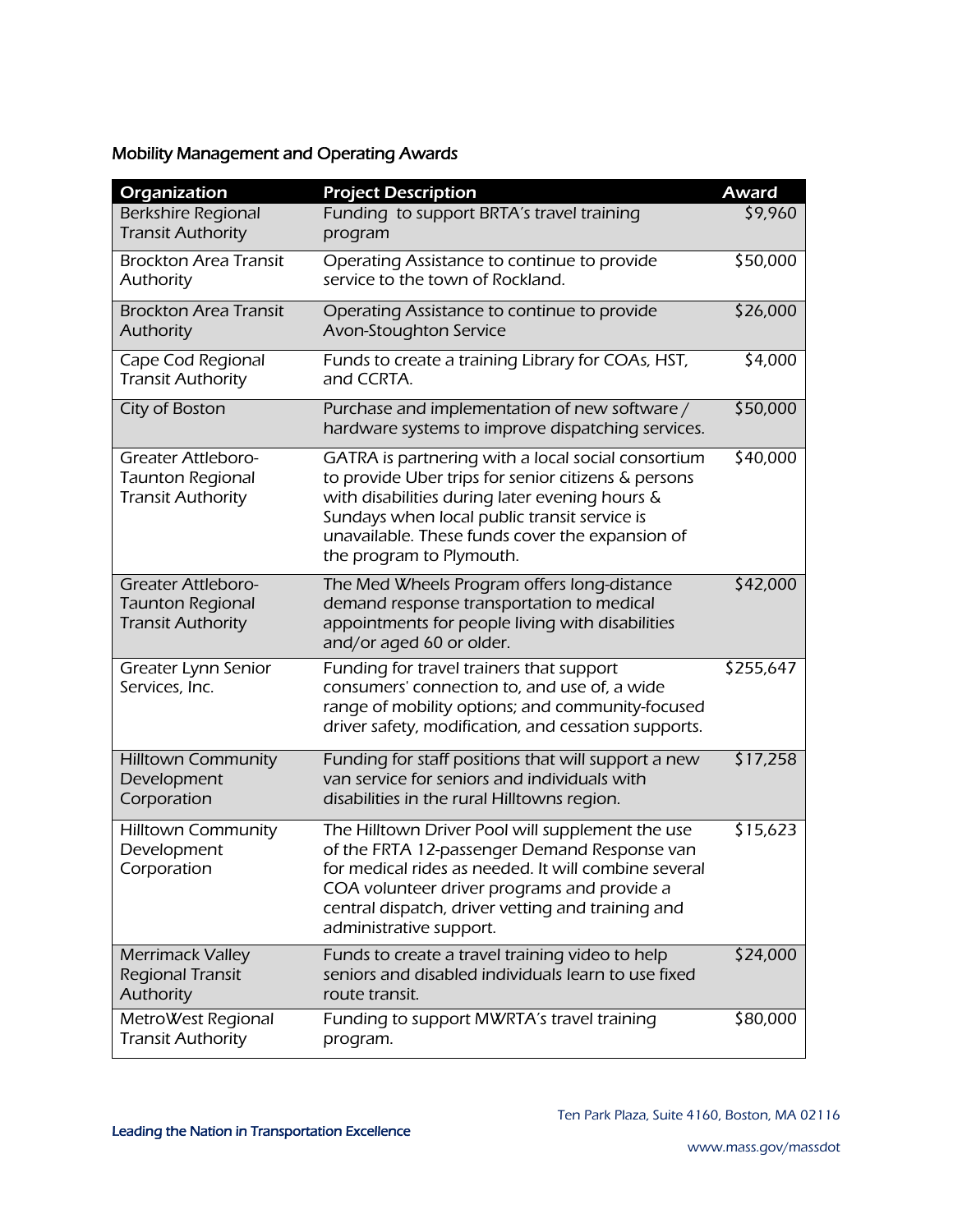## Mobility Management and Operating Awards

| Organization                                                                     | <b>Project Description</b>                                                                                                                                                                                                                                                                 | <b>Award</b> |
|----------------------------------------------------------------------------------|--------------------------------------------------------------------------------------------------------------------------------------------------------------------------------------------------------------------------------------------------------------------------------------------|--------------|
| <b>Berkshire Regional</b><br><b>Transit Authority</b>                            | Funding to support BRTA's travel training<br>program                                                                                                                                                                                                                                       | \$9,960      |
| <b>Brockton Area Transit</b><br>Authority                                        | Operating Assistance to continue to provide<br>service to the town of Rockland.                                                                                                                                                                                                            | \$50,000     |
| <b>Brockton Area Transit</b><br>Authority                                        | Operating Assistance to continue to provide<br>Avon-Stoughton Service                                                                                                                                                                                                                      | \$26,000     |
| Cape Cod Regional<br><b>Transit Authority</b>                                    | Funds to create a training Library for COAs, HST,<br>and CCRTA.                                                                                                                                                                                                                            | \$4,000      |
| City of Boston                                                                   | Purchase and implementation of new software /<br>hardware systems to improve dispatching services.                                                                                                                                                                                         | \$50,000     |
| <b>Greater Attleboro-</b><br><b>Taunton Regional</b><br><b>Transit Authority</b> | GATRA is partnering with a local social consortium<br>to provide Uber trips for senior citizens & persons<br>with disabilities during later evening hours &<br>Sundays when local public transit service is<br>unavailable. These funds cover the expansion of<br>the program to Plymouth. | \$40,000     |
| <b>Greater Attleboro-</b><br><b>Taunton Regional</b><br><b>Transit Authority</b> | The Med Wheels Program offers long-distance<br>demand response transportation to medical<br>appointments for people living with disabilities<br>and/or aged 60 or older.                                                                                                                   | \$42,000     |
| Greater Lynn Senior<br>Services, Inc.                                            | Funding for travel trainers that support<br>consumers' connection to, and use of, a wide<br>range of mobility options; and community-focused<br>driver safety, modification, and cessation supports.                                                                                       | \$255,647    |
| <b>Hilltown Community</b><br>Development<br>Corporation                          | Funding for staff positions that will support a new<br>van service for seniors and individuals with<br>disabilities in the rural Hilltowns region.                                                                                                                                         | \$17,258     |
| <b>Hilltown Community</b><br>Development<br>Corporation                          | The Hilltown Driver Pool will supplement the use<br>of the FRTA 12-passenger Demand Response van<br>for medical rides as needed. It will combine several<br>COA volunteer driver programs and provide a<br>central dispatch, driver vetting and training and<br>administrative support.    | \$15,623     |
| <b>Merrimack Valley</b><br>Regional Transit<br>Authority                         | Funds to create a travel training video to help<br>seniors and disabled individuals learn to use fixed<br>route transit.                                                                                                                                                                   | \$24,000     |
| MetroWest Regional<br><b>Transit Authority</b>                                   | Funding to support MWRTA's travel training<br>program.                                                                                                                                                                                                                                     | \$80,000     |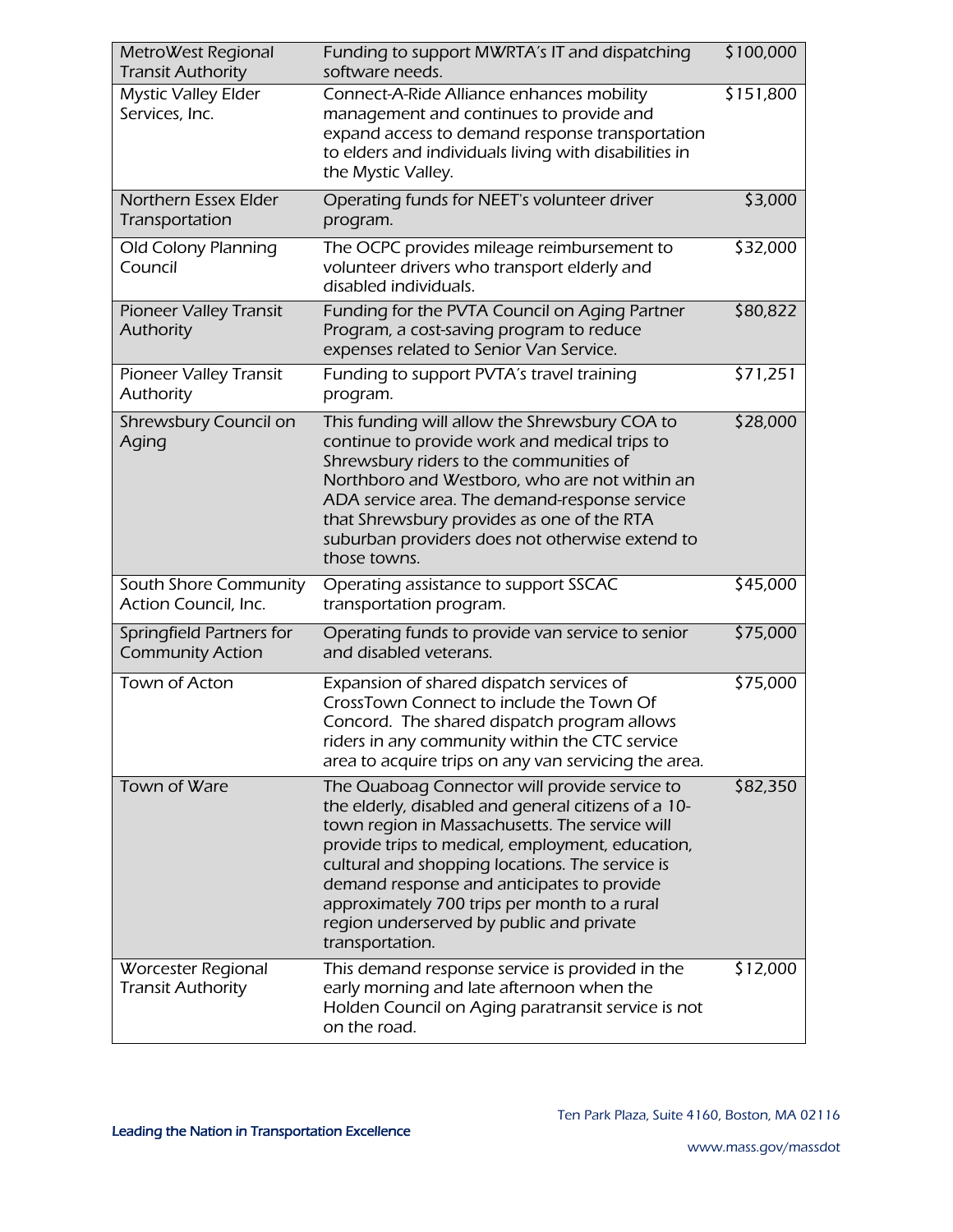| MetroWest Regional<br><b>Transit Authority</b>      | Funding to support MWRTA's IT and dispatching<br>software needs.                                                                                                                                                                                                                                                                                                                                                           | \$100,000 |
|-----------------------------------------------------|----------------------------------------------------------------------------------------------------------------------------------------------------------------------------------------------------------------------------------------------------------------------------------------------------------------------------------------------------------------------------------------------------------------------------|-----------|
| <b>Mystic Valley Elder</b><br>Services, Inc.        | Connect-A-Ride Alliance enhances mobility<br>management and continues to provide and<br>expand access to demand response transportation<br>to elders and individuals living with disabilities in<br>the Mystic Valley.                                                                                                                                                                                                     | \$151,800 |
| Northern Essex Elder<br>Transportation              | Operating funds for NEET's volunteer driver<br>program.                                                                                                                                                                                                                                                                                                                                                                    | \$3,000   |
| Old Colony Planning<br>Council                      | The OCPC provides mileage reimbursement to<br>volunteer drivers who transport elderly and<br>disabled individuals.                                                                                                                                                                                                                                                                                                         | \$32,000  |
| <b>Pioneer Valley Transit</b><br>Authority          | Funding for the PVTA Council on Aging Partner<br>Program, a cost-saving program to reduce<br>expenses related to Senior Van Service.                                                                                                                                                                                                                                                                                       | \$80,822  |
| <b>Pioneer Valley Transit</b><br>Authority          | Funding to support PVTA's travel training<br>program.                                                                                                                                                                                                                                                                                                                                                                      | 571,251   |
| Shrewsbury Council on<br>Aging                      | This funding will allow the Shrewsbury COA to<br>continue to provide work and medical trips to<br>Shrewsbury riders to the communities of<br>Northboro and Westboro, who are not within an<br>ADA service area. The demand-response service<br>that Shrewsbury provides as one of the RTA<br>suburban providers does not otherwise extend to<br>those towns.                                                               | \$28,000  |
| South Shore Community<br>Action Council, Inc.       | Operating assistance to support SSCAC<br>transportation program.                                                                                                                                                                                                                                                                                                                                                           | \$45,000  |
| Springfield Partners for<br><b>Community Action</b> | Operating funds to provide van service to senior<br>and disabled veterans.                                                                                                                                                                                                                                                                                                                                                 | \$75,000  |
| Town of Acton                                       | Expansion of shared dispatch services of<br>CrossTown Connect to include the Town Of<br>Concord. The shared dispatch program allows<br>riders in any community within the CTC service<br>area to acquire trips on any van servicing the area.                                                                                                                                                                              | \$75,000  |
| Town of Ware                                        | The Quaboag Connector will provide service to<br>the elderly, disabled and general citizens of a 10-<br>town region in Massachusetts. The service will<br>provide trips to medical, employment, education,<br>cultural and shopping locations. The service is<br>demand response and anticipates to provide<br>approximately 700 trips per month to a rural<br>region underserved by public and private<br>transportation. | \$82,350  |
| Worcester Regional<br><b>Transit Authority</b>      | This demand response service is provided in the<br>early morning and late afternoon when the<br>Holden Council on Aging paratransit service is not<br>on the road.                                                                                                                                                                                                                                                         | \$12,000  |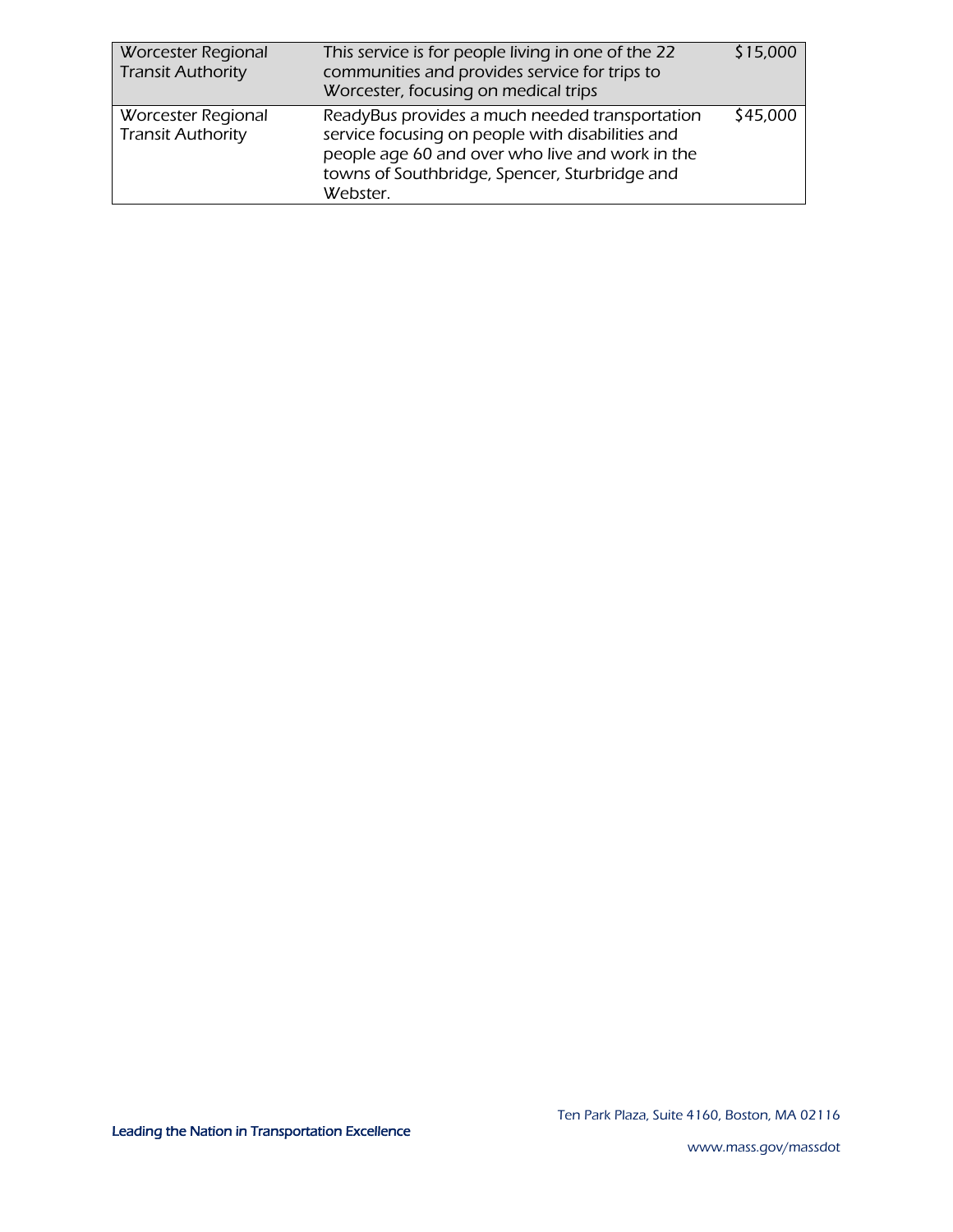| <b>Worcester Regional</b><br><b>Transit Authority</b> | This service is for people living in one of the 22<br>communities and provides service for trips to<br>Worcester, focusing on medical trips                                                                        | \$15,000 |
|-------------------------------------------------------|--------------------------------------------------------------------------------------------------------------------------------------------------------------------------------------------------------------------|----------|
| Worcester Regional<br><b>Transit Authority</b>        | ReadyBus provides a much needed transportation<br>service focusing on people with disabilities and<br>people age 60 and over who live and work in the<br>towns of Southbridge, Spencer, Sturbridge and<br>Webster. | \$45,000 |